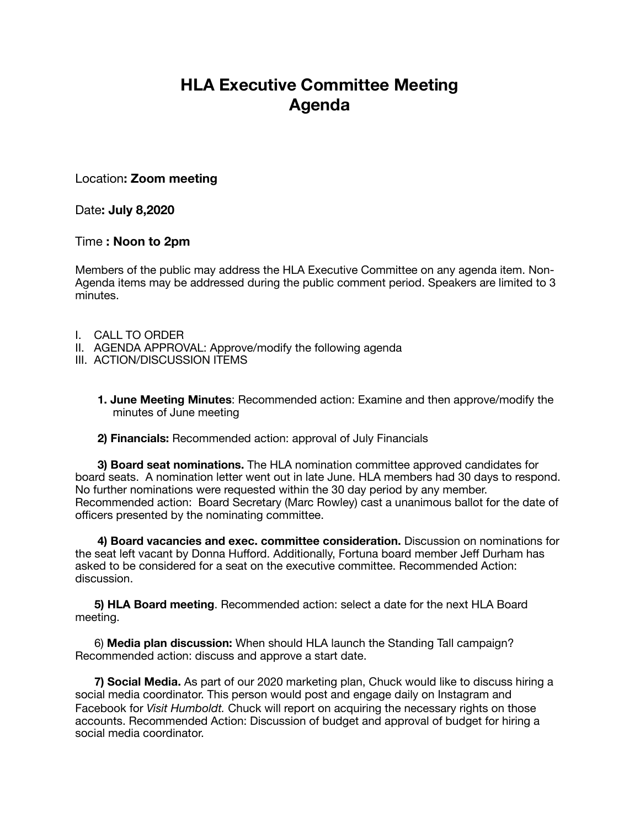## **HLA Executive Committee Meeting Agenda**

Location**: Zoom meeting** 

Date**: July 8,2020** 

## Time **: Noon to 2pm**

Members of the public may address the HLA Executive Committee on any agenda item. Non-Agenda items may be addressed during the public comment period. Speakers are limited to 3 minutes.

- I. CALL TO ORDER
- II. AGENDA APPROVAL: Approve/modify the following agenda
- III. ACTION/DISCUSSION ITEMS
	- **1. June Meeting Minutes**: Recommended action: Examine and then approve/modify the minutes of June meeting

## **2) Financials:** Recommended action: approval of July Financials

 **3) Board seat nominations.** The HLA nomination committee approved candidates for board seats. A nomination letter went out in late June. HLA members had 30 days to respond. No further nominations were requested within the 30 day period by any member. Recommended action: Board Secretary (Marc Rowley) cast a unanimous ballot for the date of officers presented by the nominating committee.

 **4) Board vacancies and exec. committee consideration.** Discussion on nominations for the seat left vacant by Donna Hufford. Additionally, Fortuna board member Jeff Durham has asked to be considered for a seat on the executive committee. Recommended Action: discussion.

 **5) HLA Board meeting**. Recommended action: select a date for the next HLA Board meeting.

 6) **Media plan discussion:** When should HLA launch the Standing Tall campaign? Recommended action: discuss and approve a start date.

 **7) Social Media.** As part of our 2020 marketing plan, Chuck would like to discuss hiring a social media coordinator. This person would post and engage daily on Instagram and Facebook for *Visit Humboldt.* Chuck will report on acquiring the necessary rights on those accounts. Recommended Action: Discussion of budget and approval of budget for hiring a social media coordinator.